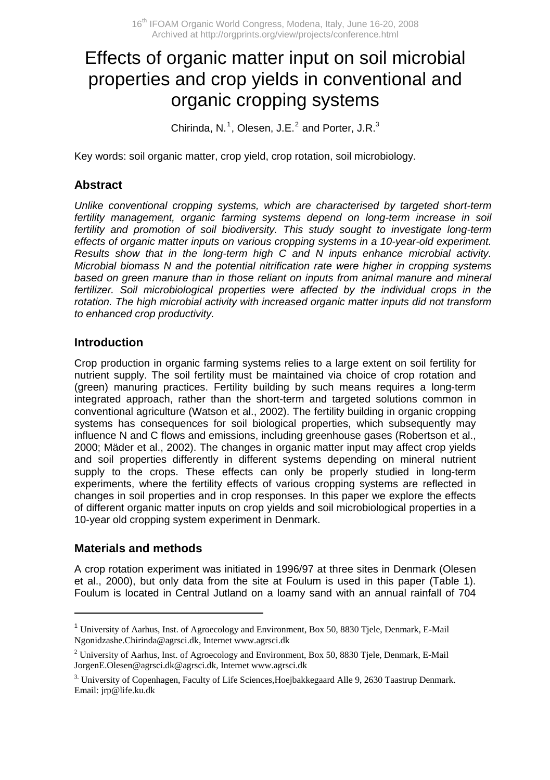# Effects of organic matter input on soil microbial properties and crop yields in conventional and organic cropping systems

Chirinda, N.<sup>[1](#page-0-0)</sup>, Olesen, J.E. $^2$  $^2$  and Porter, J.R. $^3$ 

Key words: soil organic matter, crop yield, crop rotation, soil microbiology.

#### **Abstract**

*Unlike conventional cropping systems, which are characterised by targeted short-term fertility management, organic farming systems depend on long-term increase in soil fertility and promotion of soil biodiversity. This study sought to investigate long-term effects of organic matter inputs on various cropping systems in a 10-year-old experiment. Results show that in the long-term high C and N inputs enhance microbial activity. Microbial biomass N and the potential nitrification rate were higher in cropping systems*  based on green manure than in those reliant on inputs from animal manure and mineral fertilizer. Soil microbiological properties were affected by the individual crops in the *rotation. The high microbial activity with increased organic matter inputs did not transform to enhanced crop productivity.* 

#### **Introduction**

Crop production in organic farming systems relies to a large extent on soil fertility for nutrient supply. The soil fertility must be maintained via choice of crop rotation and (green) manuring practices. Fertility building by such means requires a long-term integrated approach, rather than the short-term and targeted solutions common in conventional agriculture (Watson et al., 2002). The fertility building in organic cropping systems has consequences for soil biological properties, which subsequently may influence N and C flows and emissions, including greenhouse gases (Robertson et al., 2000; Mäder et al., 2002). The changes in organic matter input may affect crop yields and soil properties differently in different systems depending on mineral nutrient supply to the crops. These effects can only be properly studied in long-term experiments, where the fertility effects of various cropping systems are reflected in changes in soil properties and in crop responses. In this paper we explore the effects of different organic matter inputs on crop yields and soil microbiological properties in a 10-year old cropping system experiment in Denmark.

#### **Materials and methods**

 $\overline{a}$ 

A crop rotation experiment was initiated in 1996/97 at three sites in Denmark (Olesen et al., 2000), but only data from the site at Foulum is used in this paper (Table 1). Foulum is located in Central Jutland on a loamy sand with an annual rainfall of 704

<span id="page-0-0"></span><sup>1</sup> University of Aarhus, Inst. of Agroecology and Environment, Box 50, 8830 Tjele, Denmark, E-Mail Ngonidzashe.Chirinda@agrsci.dk, Internet www.agrsci.dk

<span id="page-0-1"></span><sup>&</sup>lt;sup>2</sup> University of Aarhus, Inst. of Agroecology and Environment, Box 50, 8830 Tjele, Denmark, E-Mail JorgenE.Olesen@agrsci.dk@agrsci.dk, Internet [www.agrsci.dk](http://www.agrsci.dk/)

<sup>3.</sup> University of Copenhagen, Faculty of Life Sciences,Hoejbakkegaard Alle 9, 2630 Taastrup Denmark. Email: jrp@life.ku.dk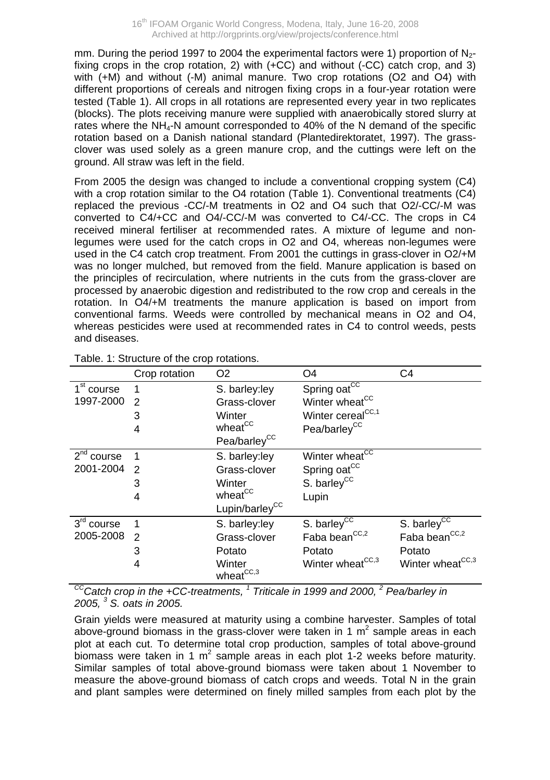mm. During the period 1997 to 2004 the experimental factors were 1) proportion of  $N_{2}$ fixing crops in the crop rotation, 2) with  $(+CC)$  and without  $(-CC)$  catch crop, and 3) with (+M) and without (-M) animal manure. Two crop rotations (O2 and O4) with different proportions of cereals and nitrogen fixing crops in a four-year rotation were tested (Table 1). All crops in all rotations are represented every year in two replicates (blocks). The plots receiving manure were supplied with anaerobically stored slurry at rates where the NH4-N amount corresponded to 40% of the N demand of the specific rotation based on a Danish national standard (Plantedirektoratet, 1997). The grassclover was used solely as a green manure crop, and the cuttings were left on the ground. All straw was left in the field.

From 2005 the design was changed to include a conventional cropping system (C4) with a crop rotation similar to the O4 rotation (Table 1). Conventional treatments (C4) replaced the previous -CC/-M treatments in O2 and O4 such that O2/-CC/-M was converted to C4/+CC and O4/-CC/-M was converted to C4/-CC. The crops in C4 received mineral fertiliser at recommended rates. A mixture of legume and nonlegumes were used for the catch crops in O2 and O4, whereas non-legumes were used in the C4 catch crop treatment. From 2001 the cuttings in grass-clover in O2/+M was no longer mulched, but removed from the field. Manure application is based on the principles of recirculation, where nutrients in the cuts from the grass-clover are processed by anaerobic digestion and redistributed to the row crop and cereals in the rotation. In O4/+M treatments the manure application is based on import from conventional farms. Weeds were controlled by mechanical means in O2 and O4, whereas pesticides were used at recommended rates in C4 to control weeds, pests and diseases.

|                        | Crop rotation | O <sub>2</sub>             | O <sub>4</sub>                | C4                           |
|------------------------|---------------|----------------------------|-------------------------------|------------------------------|
| 1 <sup>st</sup> course |               | S. barley:ley              | Spring oat <sup>CC</sup>      |                              |
| 1997-2000              | $\mathcal{P}$ | Grass-clover               | Winter wheat <sup>CC</sup>    |                              |
|                        | 3             | Winter                     | Winter cereal <sup>CC,1</sup> |                              |
|                        | 4             | wheat <sup>CC</sup>        | Pea/barley <sup>CC</sup>      |                              |
|                        |               | Pea/barley <sup>CC</sup>   |                               |                              |
| 2 <sup>nd</sup> course |               | S. barley:ley              | Winter wheat <sup>CC</sup>    |                              |
| 2001-2004              | 2             | Grass-clover               | Spring oat <sup>CC</sup>      |                              |
|                        | 3             | Winter                     | S. barley <sup>CC</sup>       |                              |
|                        | 4             | wheat <sup>CC</sup>        | Lupin                         |                              |
|                        |               | Lupin/barley <sup>CC</sup> |                               |                              |
| 3rd course             |               | S. barley:ley              | S. barley <sup>CC</sup>       | S. barley <sup>cc</sup>      |
| 2005-2008              | 2             | Grass-clover               | Faba bean <sup>CC,2</sup>     | Faba bean <sup>CC,2</sup>    |
|                        | 3             | Potato                     | Potato                        | Potato                       |
|                        | 4             | Winter                     | Winter wheat <sup>CC,3</sup>  | Winter wheat <sup>CC,3</sup> |
|                        |               | $whereat^{CC,3}$           |                               |                              |

Table. 1: Structure of the crop rotations.

*CCCatch crop in the +CC-treatments, 1 Triticale in 1999 and 2000, <sup>2</sup> Pea/barley in 2005, <sup>3</sup> S. oats in 2005.* 

Grain yields were measured at maturity using a combine harvester. Samples of total above-ground biomass in the grass-clover were taken in 1  $m^2$  sample areas in each plot at each cut. To determine total crop production, samples of total above-ground biomass were taken in 1 m<sup>2</sup> sample areas in each plot 1-2 weeks before maturity. Similar samples of total above-ground biomass were taken about 1 November to measure the above-ground biomass of catch crops and weeds. Total N in the grain and plant samples were determined on finely milled samples from each plot by the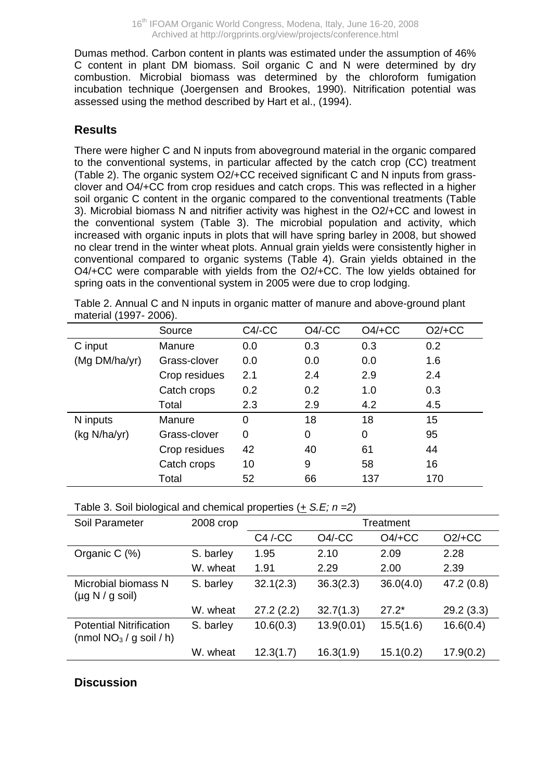Dumas method. Carbon content in plants was estimated under the assumption of 46% C content in plant DM biomass. Soil organic C and N were determined by dry combustion. Microbial biomass was determined by the chloroform fumigation incubation technique (Joergensen and Brookes, 1990). Nitrification potential was assessed using the method described by Hart et al., (1994).

### **Results**

There were higher C and N inputs from aboveground material in the organic compared to the conventional systems, in particular affected by the catch crop (CC) treatment (Table 2). The organic system O2/+CC received significant C and N inputs from grassclover and O4/+CC from crop residues and catch crops. This was reflected in a higher soil organic C content in the organic compared to the conventional treatments (Table 3). Microbial biomass N and nitrifier activity was highest in the O2/+CC and lowest in the conventional system (Table 3). The microbial population and activity, which increased with organic inputs in plots that will have spring barley in 2008, but showed no clear trend in the winter wheat plots. Annual grain yields were consistently higher in conventional compared to organic systems (Table 4). Grain yields obtained in the O4/+CC were comparable with yields from the O2/+CC. The low yields obtained for spring oats in the conventional system in 2005 were due to crop lodging.

|                               | Source        | $C4$ /-CC | $O4$ -CC | $O4/+CC$ | $O2/+CC$ |
|-------------------------------|---------------|-----------|----------|----------|----------|
| C input                       | Manure        | 0.0       | 0.3      | 0.3      | 0.2      |
| (Mg DM/ha/yr)<br>Grass-clover |               | 0.0       | 0.0      | 0.0      | 1.6      |
|                               | Crop residues | 2.1       | 2.4      | 2.9      | 2.4      |
|                               | Catch crops   | 0.2       | 0.2      | 1.0      | 0.3      |
|                               | Total         | 2.3       | 2.9      | 4.2      | 4.5      |
| N inputs                      | Manure        | 0         | 18       | 18       | 15       |
| (kg N/ha/yr)                  | Grass-clover  | 0         | 0        | 0        | 95       |
|                               | Crop residues | 42        | 40       | 61       | 44       |
|                               | Catch crops   | 10        | 9        | 58       | 16       |
|                               | Total         | 52        | 66       | 137      | 170      |

Table 2. Annual C and N inputs in organic matter of manure and above-ground plant material (1997- 2006).

Table 3. Soil biological and chemical properties (*+ S.E; n =2*)

| Soil Parameter                                              | 2008 crop | Treatment |            |           |           |
|-------------------------------------------------------------|-----------|-----------|------------|-----------|-----------|
|                                                             |           | C4 / CC   | $O4$ /-CC  | $O4/+CC$  | $O2/+CC$  |
| Organic C (%)                                               | S. barley | 1.95      | 2.10       | 2.09      | 2.28      |
|                                                             | W. wheat  | 1.91      | 2.29       | 2.00      | 2.39      |
| Microbial biomass N<br>$(\mu q N / q sol)$                  | S. barley | 32.1(2.3) | 36.3(2.3)  | 36.0(4.0) | 47.2(0.8) |
|                                                             | W. wheat  | 27.2(2.2) | 32.7(1.3)  | $27.2*$   | 29.2(3.3) |
| <b>Potential Nitrification</b><br>(nmol $NO3$ / q soil / h) | S. barley | 10.6(0.3) | 13.9(0.01) | 15.5(1.6) | 16.6(0.4) |
|                                                             | W. wheat  | 12.3(1.7) | 16.3(1.9)  | 15.1(0.2) | 17.9(0.2) |

## **Discussion**